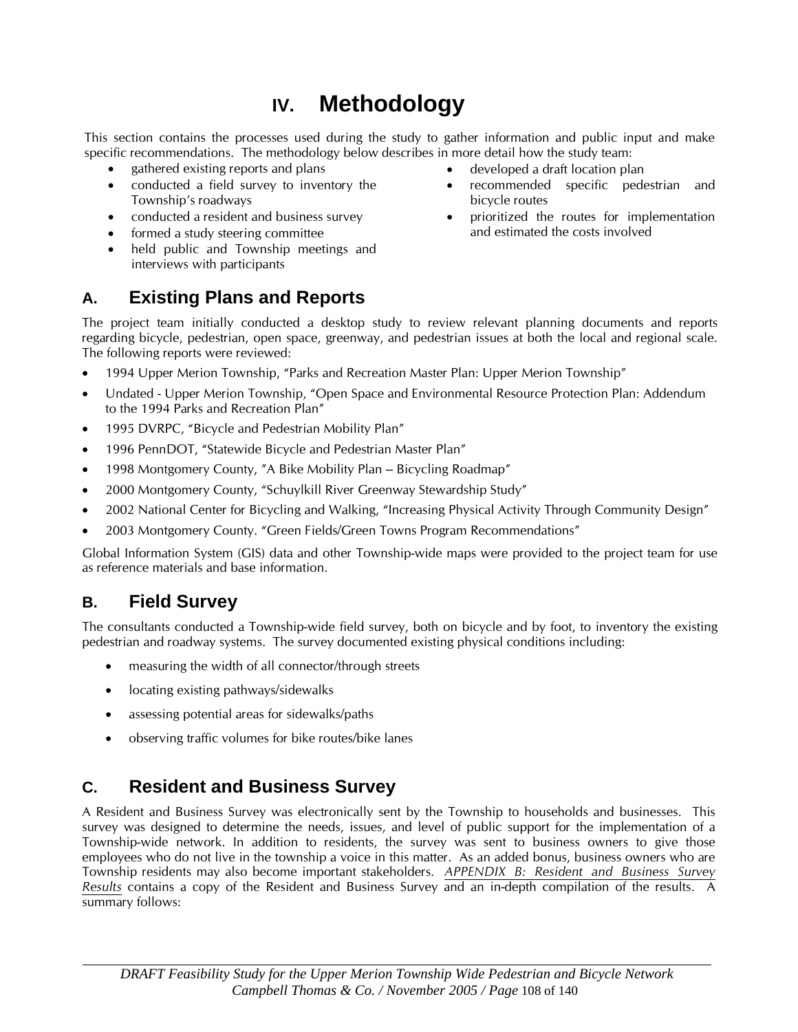# **IV. Methodology**

This section contains the processes used during the study to gather information and public input and make specific recommendations. The methodology below describes in more detail how the study team:

- gathered existing reports and plans
- conducted a field survey to inventory the Township's roadways
- conducted a resident and business survey
- formed a study steering committee
- held public and Township meetings and interviews with participants

# **A. Existing Plans and Reports**

- developed a draft location plan
- recommended specific pedestrian and bicycle routes
- prioritized the routes for implementation and estimated the costs involved
- The project team initially conducted a desktop study to review relevant planning documents and reports regarding bicycle, pedestrian, open space, greenway, and pedestrian issues at both the local and regional scale. The following reports were reviewed:
- 1994 Upper Merion Township, "Parks and Recreation Master Plan: Upper Merion Township"
- Undated Upper Merion Township, "Open Space and Environmental Resource Protection Plan: Addendum to the 1994 Parks and Recreation Plan"
- 1995 DVRPC, "Bicycle and Pedestrian Mobility Plan"
- 1996 PennDOT, "Statewide Bicycle and Pedestrian Master Plan"
- 1998 Montgomery County, "A Bike Mobility Plan -- Bicycling Roadmap"
- 2000 Montgomery County, "Schuylkill River Greenway Stewardship Study"
- 2002 National Center for Bicycling and Walking, "Increasing Physical Activity Through Community Design"
- 2003 Montgomery County. "Green Fields/Green Towns Program Recommendations"

Global Information System (GIS) data and other Township-wide maps were provided to the project team for use as reference materials and base information.

# **B. Field Survey**

The consultants conducted a Township-wide field survey, both on bicycle and by foot, to inventory the existing pedestrian and roadway systems. The survey documented existing physical conditions including:

- measuring the width of all connector/through streets
- locating existing pathways/sidewalks
- assessing potential areas for sidewalks/paths
- observing traffic volumes for bike routes/bike lanes

# **C. Resident and Business Survey**

A Resident and Business Survey was electronically sent by the Township to households and businesses. This survey was designed to determine the needs, issues, and level of public support for the implementation of a Township-wide network. In addition to residents, the survey was sent to business owners to give those employees who do not live in the township a voice in this matter. As an added bonus, business owners who are Township residents may also become important stakeholders. *APPENDIX B: Resident and Business Survey Results* contains a copy of the Resident and Business Survey and an in-depth compilation of the results. A summary follows: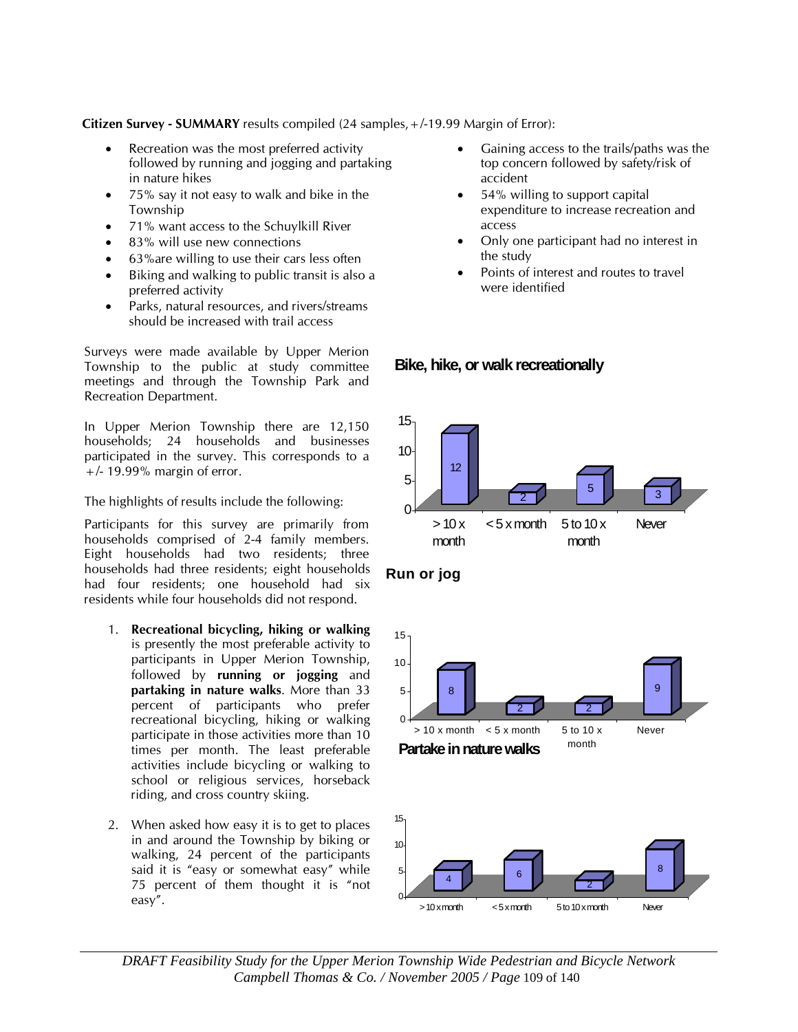**Citizen Survey - SUMMARY** results compiled (24 samples,+/-19.99 Margin of Error):

- Recreation was the most preferred activity followed by running and jogging and partaking in nature hikes
- 75% say it not easy to walk and bike in the Township
- 71% want access to the Schuylkill River
- 83% will use new connections
- 63%are willing to use their cars less often
- Biking and walking to public transit is also a preferred activity
- Parks, natural resources, and rivers/streams should be increased with trail access

Surveys were made available by Upper Merion Township to the public at study committee meetings and through the Township Park and Recreation Department.

In Upper Merion Township there are 12,150 households; 24 households and businesses participated in the survey. This corresponds to a  $+/- 19.99\%$  margin of error.

The highlights of results include the following:

Participants for this survey are primarily from households comprised of 2-4 family members. Eight households had two residents; three households had three residents; eight households had four residents; one household had six residents while four households did not respond.

- 1. **Recreational bicycling, hiking or walking** is presently the most preferable activity to participants in Upper Merion Township, followed by **running or jogging** and **partaking in nature walks**. More than 33 percent of participants who prefer recreational bicycling, hiking or walking participate in those activities more than 10 times per month. The least preferable activities include bicycling or walking to school or religious services, horseback riding, and cross country skiing.
- 2. When asked how easy it is to get to places in and around the Township by biking or walking, 24 percent of the participants said it is "easy or somewhat easy" while 75 percent of them thought it is "not easy".
- Gaining access to the trails/paths was the top concern followed by safety/risk of accident
- 54% willing to support capital expenditure to increase recreation and access
- Only one participant had no interest in the study
- Points of interest and routes to travel were identified

#### **Bike, hike, or walk recreationally**







*DRAFT Feasibility Study for the Upper Merion Township Wide Pedestrian and Bicycle Network Campbell Thomas & Co. / November 2005 / Page* 109 of 140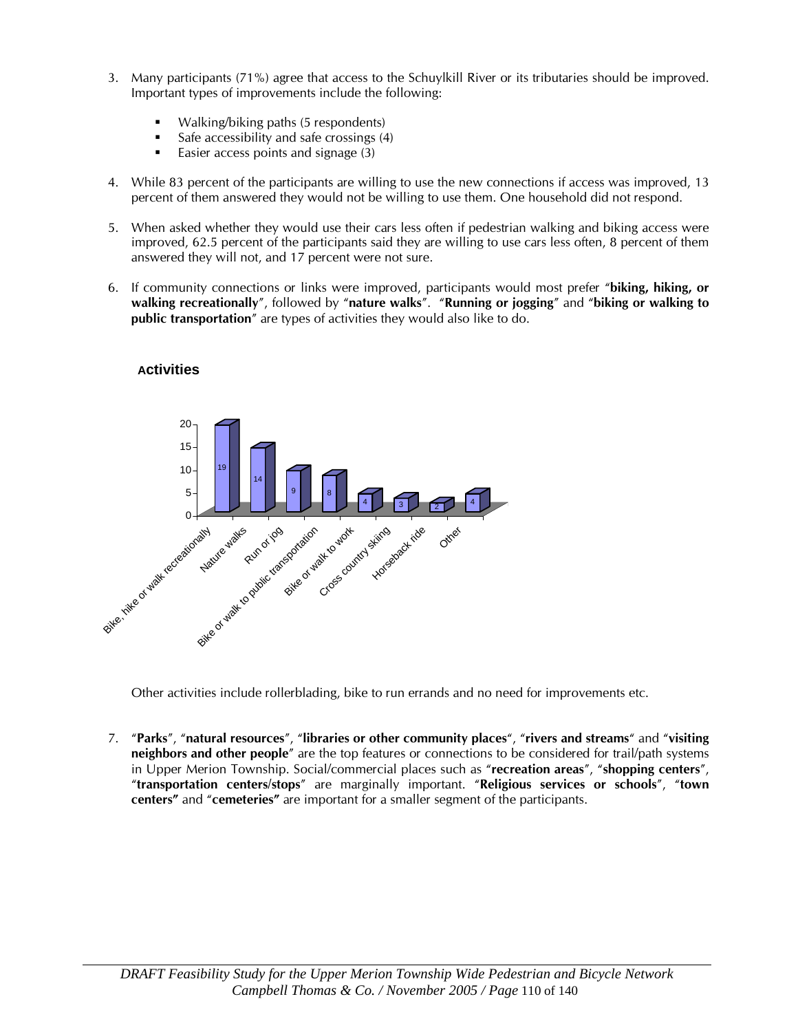- 3. Many participants (71%) agree that access to the Schuylkill River or its tributaries should be improved. Important types of improvements include the following:
	- **Walking/biking paths (5 respondents)**
	- Safe accessibility and safe crossings  $(4)$
	- Easier access points and signage  $(3)$
- 4. While 83 percent of the participants are willing to use the new connections if access was improved, 13 percent of them answered they would not be willing to use them. One household did not respond.
- 5. When asked whether they would use their cars less often if pedestrian walking and biking access were improved, 62.5 percent of the participants said they are willing to use cars less often, 8 percent of them answered they will not, and 17 percent were not sure.
- 6. If community connections or links were improved, participants would most prefer "**biking, hiking, or walking recreationally**", followed by "**nature walks**". "**Running or jogging**" and "**biking or walking to public transportation**" are types of activities they would also like to do.



#### **Activities**

Other activities include rollerblading, bike to run errands and no need for improvements etc.

7. "**Parks**", "**natural resources**", "**libraries or other community places**", "**rivers and streams**" and "**visiting neighbors and other people**" are the top features or connections to be considered for trail/path systems in Upper Merion Township. Social/commercial places such as "**recreation areas**", "**shopping centers**", "**transportation centers/stops**" are marginally important. "**Religious services or schools**", "**town centers"** and "**cemeteries"** are important for a smaller segment of the participants.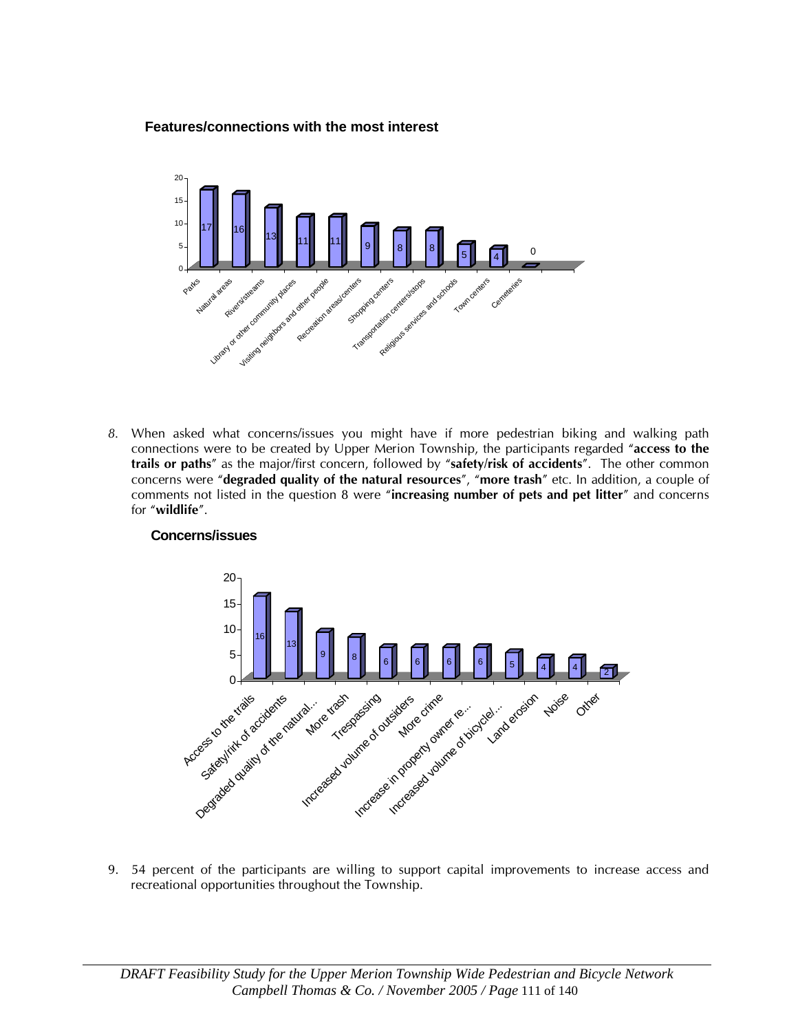#### **Features/connections with the most interest**



*8.* When asked what concerns/issues you might have if more pedestrian biking and walking path connections were to be created by Upper Merion Township, the participants regarded "**access to the trails or paths**" as the major/first concern, followed by "**safety/risk of accidents**". The other common concerns were "**degraded quality of the natural resources**", "**more trash**" etc. In addition, a couple of comments not listed in the question 8 were "**increasing number of pets and pet litter**" and concerns for "**wildlife**".

#### **Concerns/issues**



9. 54 percent of the participants are willing to support capital improvements to increase access and recreational opportunities throughout the Township.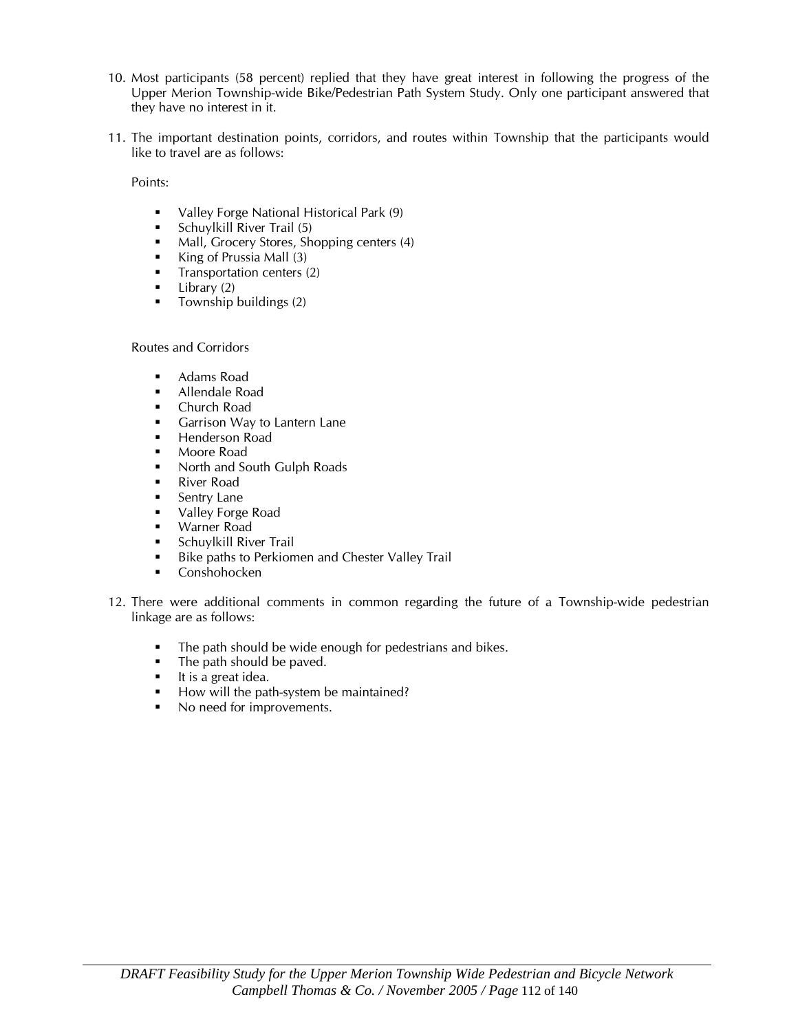- 10. Most participants (58 percent) replied that they have great interest in following the progress of the Upper Merion Township-wide Bike/Pedestrian Path System Study. Only one participant answered that they have no interest in it.
- 11. The important destination points, corridors, and routes within Township that the participants would like to travel are as follows:

Points:

- Valley Forge National Historical Park (9)
- Schuylkill River Trail  $(5)$
- Mall, Grocery Stores, Shopping centers (4)
- King of Prussia Mall  $(3)$
- $\blacksquare$  Transportation centers (2)
- $\blacksquare$  Library (2)
- $\blacksquare$  Township buildings (2)

Routes and Corridors

- Adams Road
- Allendale Road
- Church Road
- **Garrison Way to Lantern Lane**
- Henderson Road
- Moore Road
- North and South Gulph Roads
- River Road
- Sentry Lane
- **Valley Forge Road**
- Warner Road
- **Schuylkill River Trail**
- Bike paths to Perkiomen and Chester Valley Trail
- Conshohocken
- 12. There were additional comments in common regarding the future of a Township-wide pedestrian linkage are as follows:
	- The path should be wide enough for pedestrians and bikes.
	- The path should be paved.
	- $\blacksquare$  It is a great idea.
	- How will the path-system be maintained?
	- No need for improvements.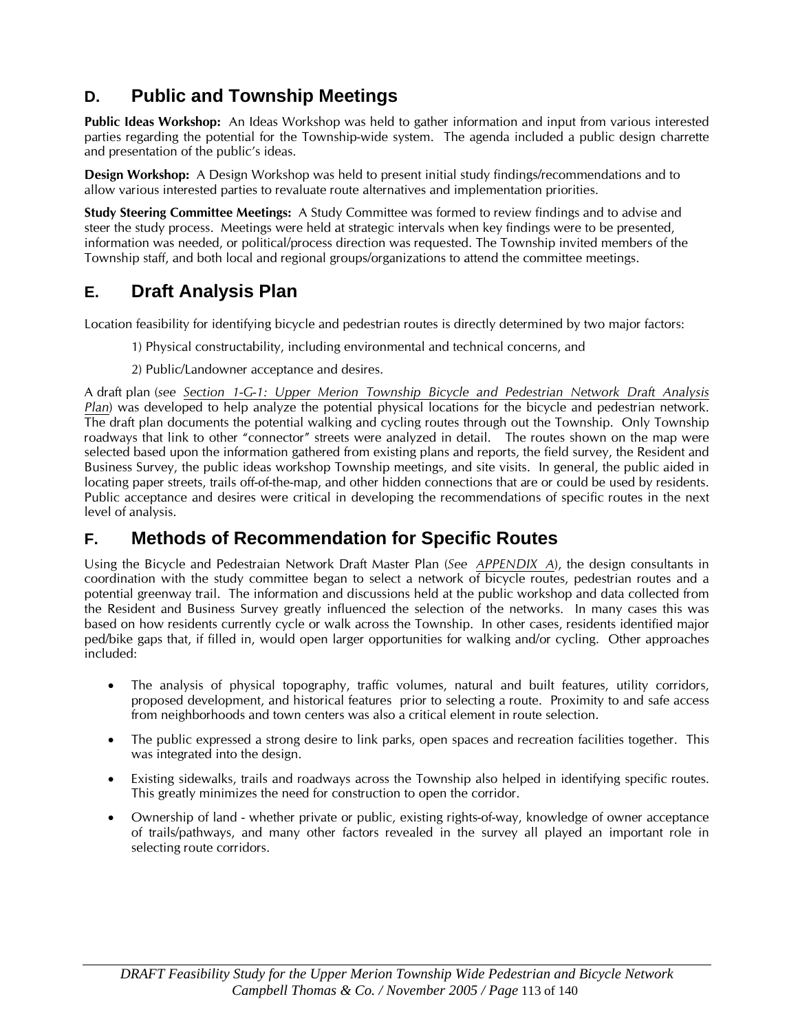# **D. Public and Township Meetings**

**Public Ideas Workshop:** An Ideas Workshop was held to gather information and input from various interested parties regarding the potential for the Township-wide system. The agenda included a public design charrette and presentation of the public's ideas.

**Design Workshop:** A Design Workshop was held to present initial study findings/recommendations and to allow various interested parties to revaluate route alternatives and implementation priorities.

**Study Steering Committee Meetings:** A Study Committee was formed to review findings and to advise and steer the study process. Meetings were held at strategic intervals when key findings were to be presented, information was needed, or political/process direction was requested. The Township invited members of the Township staff, and both local and regional groups/organizations to attend the committee meetings.

# **E. Draft Analysis Plan**

Location feasibility for identifying bicycle and pedestrian routes is directly determined by two major factors:

- 1) Physical constructability, including environmental and technical concerns, and
- 2) Public/Landowner acceptance and desires.

A draft plan (*see Section 1-G-1: Upper Merion Township Bicycle and Pedestrian Network Draft Analysis Plan*) was developed to help analyze the potential physical locations for the bicycle and pedestrian network. The draft plan documents the potential walking and cycling routes through out the Township. Only Township roadways that link to other "connector" streets were analyzed in detail. The routes shown on the map were selected based upon the information gathered from existing plans and reports, the field survey, the Resident and Business Survey, the public ideas workshop Township meetings, and site visits. In general, the public aided in locating paper streets, trails off-of-the-map, and other hidden connections that are or could be used by residents. Public acceptance and desires were critical in developing the recommendations of specific routes in the next level of analysis.

# **F. Methods of Recommendation for Specific Routes**

Using the Bicycle and Pedestraian Network Draft Master Plan (*See APPENDIX A*), the design consultants in coordination with the study committee began to select a network of bicycle routes, pedestrian routes and a potential greenway trail. The information and discussions held at the public workshop and data collected from the Resident and Business Survey greatly influenced the selection of the networks. In many cases this was based on how residents currently cycle or walk across the Township. In other cases, residents identified major ped/bike gaps that, if filled in, would open larger opportunities for walking and/or cycling. Other approaches included:

- The analysis of physical topography, traffic volumes, natural and built features, utility corridors, proposed development, and historical features prior to selecting a route. Proximity to and safe access from neighborhoods and town centers was also a critical element in route selection.
- The public expressed a strong desire to link parks, open spaces and recreation facilities together. This was integrated into the design.
- Existing sidewalks, trails and roadways across the Township also helped in identifying specific routes. This greatly minimizes the need for construction to open the corridor.
- Ownership of land whether private or public, existing rights-of-way, knowledge of owner acceptance of trails/pathways, and many other factors revealed in the survey all played an important role in selecting route corridors.